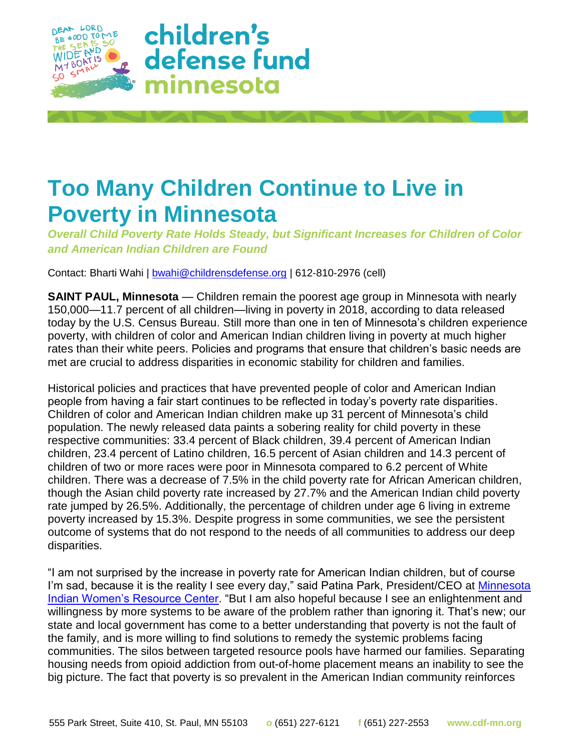

## **Too Many Children Continue to Live in Poverty in Minnesota**

*Overall Child Poverty Rate Holds Steady, but Significant Increases for Children of Color and American Indian Children are Found*

Contact: Bharti Wahi | [bwahi@childrensdefense.org](mailto:bwahi@childrensdefense.org) | 612-810-2976 (cell)

**SAINT PAUL, Minnesota** — Children remain the poorest age group in Minnesota with nearly 150,000—11.7 percent of all children—living in poverty in 2018, according to data released today by the U.S. Census Bureau. Still more than one in ten of Minnesota's children experience poverty, with children of color and American Indian children living in poverty at much higher rates than their white peers. Policies and programs that ensure that children's basic needs are met are crucial to address disparities in economic stability for children and families.

Historical policies and practices that have prevented people of color and American Indian people from having a fair start continues to be reflected in today's poverty rate disparities. Children of color and American Indian children make up 31 percent of Minnesota's child population. The newly released data paints a sobering reality for child poverty in these respective communities: 33.4 percent of Black children, 39.4 percent of American Indian children, 23.4 percent of Latino children, 16.5 percent of Asian children and 14.3 percent of children of two or more races were poor in Minnesota compared to 6.2 percent of White children. There was a decrease of 7.5% in the child poverty rate for African American children, though the Asian child poverty rate increased by 27.7% and the American Indian child poverty rate jumped by 26.5%. Additionally, the percentage of children under age 6 living in extreme poverty increased by 15.3%. Despite progress in some communities, we see the persistent outcome of systems that do not respond to the needs of all communities to address our deep disparities.

"I am not surprised by the increase in poverty rate for American Indian children, but of course I'm sad, because it is the reality I see every day," said Patina Park, President/CEO at Minnesota [Indian Women's Resource Center.](https://www.miwrc.org/) "But I am also hopeful because I see an enlightenment and willingness by more systems to be aware of the problem rather than ignoring it. That's new; our state and local government has come to a better understanding that poverty is not the fault of the family, and is more willing to find solutions to remedy the systemic problems facing communities. The silos between targeted resource pools have harmed our families. Separating housing needs from opioid addiction from out-of-home placement means an inability to see the big picture. The fact that poverty is so prevalent in the American Indian community reinforces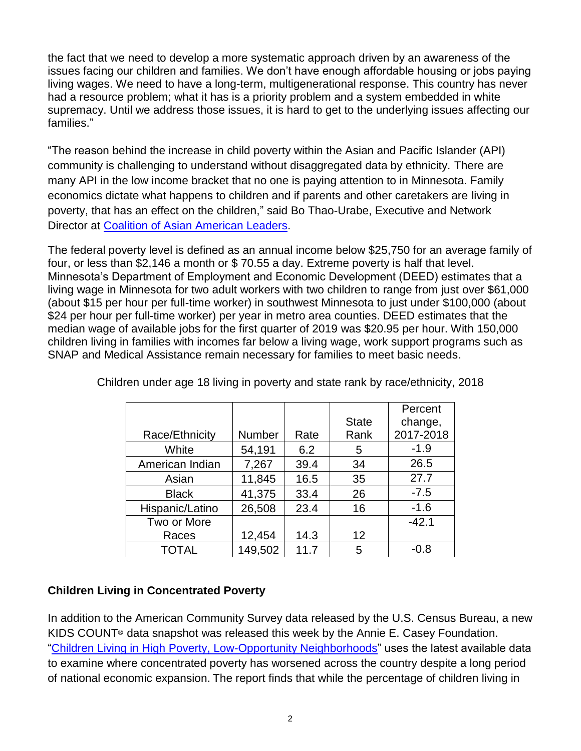the fact that we need to develop a more systematic approach driven by an awareness of the issues facing our children and families. We don't have enough affordable housing or jobs paying living wages. We need to have a long-term, multigenerational response. This country has never had a resource problem; what it has is a priority problem and a system embedded in white supremacy. Until we address those issues, it is hard to get to the underlying issues affecting our families."

"The reason behind the increase in child poverty within the Asian and Pacific Islander (API) community is challenging to understand without disaggregated data by ethnicity. There are many API in the low income bracket that no one is paying attention to in Minnesota. Family economics dictate what happens to children and if parents and other caretakers are living in poverty, that has an effect on the children," said Bo Thao-Urabe, Executive and Network Director at [Coalition of Asian American Leaders.](http://www.caalmn.org/)

The federal poverty level is defined as an annual income below \$25,750 for an average family of four, or less than \$2,146 a month or \$ 70.55 a day. Extreme poverty is half that level. Minnesota's Department of Employment and Economic Development (DEED) estimates that a living wage in Minnesota for two adult workers with two children to range from just over \$61,000 (about \$15 per hour per full-time worker) in southwest Minnesota to just under \$100,000 (about \$24 per hour per full-time worker) per year in metro area counties. DEED estimates that the median wage of available jobs for the first quarter of 2019 was \$20.95 per hour. With 150,000 children living in families with incomes far below a living wage, work support programs such as SNAP and Medical Assistance remain necessary for families to meet basic needs.

|                 |               |      |              | Percent   |
|-----------------|---------------|------|--------------|-----------|
|                 |               |      | <b>State</b> | change,   |
| Race/Ethnicity  | <b>Number</b> | Rate | Rank         | 2017-2018 |
| White           | 54,191        | 6.2  | 5            | $-1.9$    |
| American Indian | 7,267         | 39.4 | 34           | 26.5      |
| Asian           | 11,845        | 16.5 | 35           | 27.7      |
| <b>Black</b>    | 41,375        | 33.4 | 26           | $-7.5$    |
| Hispanic/Latino | 26,508        | 23.4 | 16           | $-1.6$    |
| Two or More     |               |      |              | $-42.1$   |
| Races           | 12,454        | 14.3 | 12           |           |
| <b>TOTAL</b>    | 149,502       | 11.7 | 5            | $-0.8$    |

Children under age 18 living in poverty and state rank by race/ethnicity, 2018

## **Children Living in Concentrated Poverty**

In addition to the American Community Survey data released by the U.S. Census Bureau, a new KIDS COUNT® data snapshot was released this week by the Annie E. Casey Foundation. ["Children Living in High Poverty, Low-Opportunity Neighborhoods"](https://www.aecf.org/resources/children-living-in-high-poverty-low-opportunity-neighborhoods/) uses the latest available data to examine where concentrated poverty has worsened across the country despite a long period of national economic expansion. The report finds that while the percentage of children living in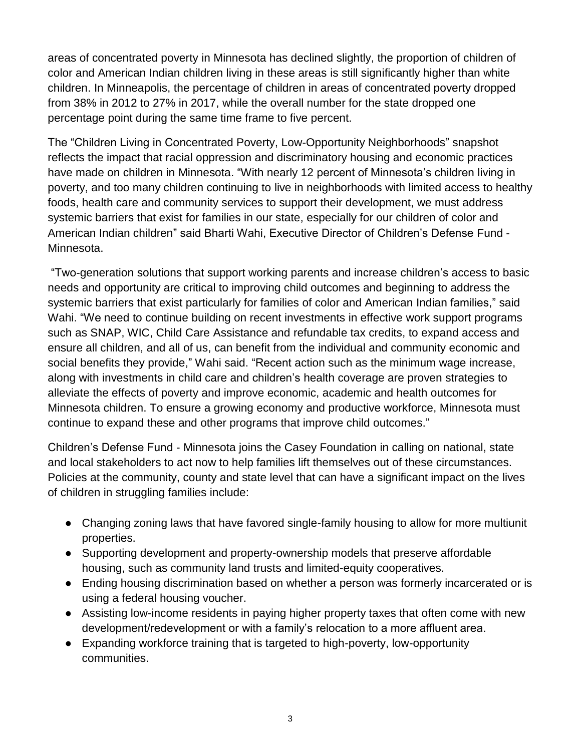areas of concentrated poverty in Minnesota has declined slightly, the proportion of children of color and American Indian children living in these areas is still significantly higher than white children. In Minneapolis, the percentage of children in areas of concentrated poverty dropped from 38% in 2012 to 27% in 2017, while the overall number for the state dropped one percentage point during the same time frame to five percent.

The "Children Living in Concentrated Poverty, Low-Opportunity Neighborhoods" snapshot reflects the impact that racial oppression and discriminatory housing and economic practices have made on children in Minnesota. "With nearly 12 percent of Minnesota's children living in poverty, and too many children continuing to live in neighborhoods with limited access to healthy foods, health care and community services to support their development, we must address systemic barriers that exist for families in our state, especially for our children of color and American Indian children" said Bharti Wahi, Executive Director of Children's Defense Fund - Minnesota.

"Two-generation solutions that support working parents and increase children's access to basic needs and opportunity are critical to improving child outcomes and beginning to address the systemic barriers that exist particularly for families of color and American Indian families," said Wahi. "We need to continue building on recent investments in effective work support programs such as SNAP, WIC, Child Care Assistance and refundable tax credits, to expand access and ensure all children, and all of us, can benefit from the individual and community economic and social benefits they provide," Wahi said. "Recent action such as the minimum wage increase, along with investments in child care and children's health coverage are proven strategies to alleviate the effects of poverty and improve economic, academic and health outcomes for Minnesota children. To ensure a growing economy and productive workforce, Minnesota must continue to expand these and other programs that improve child outcomes."

Children's Defense Fund - Minnesota joins the Casey Foundation in calling on national, state and local stakeholders to act now to help families lift themselves out of these circumstances. Policies at the community, county and state level that can have a significant impact on the lives of children in struggling families include:

- Changing zoning laws that have favored single-family housing to allow for more multiunit properties.
- Supporting development and property-ownership models that preserve affordable housing, such as community land trusts and limited-equity cooperatives.
- Ending housing discrimination based on whether a person was formerly incarcerated or is using a federal housing voucher.
- Assisting low-income residents in paying higher property taxes that often come with new development/redevelopment or with a family's relocation to a more affluent area.
- Expanding workforce training that is targeted to high-poverty, low-opportunity communities.